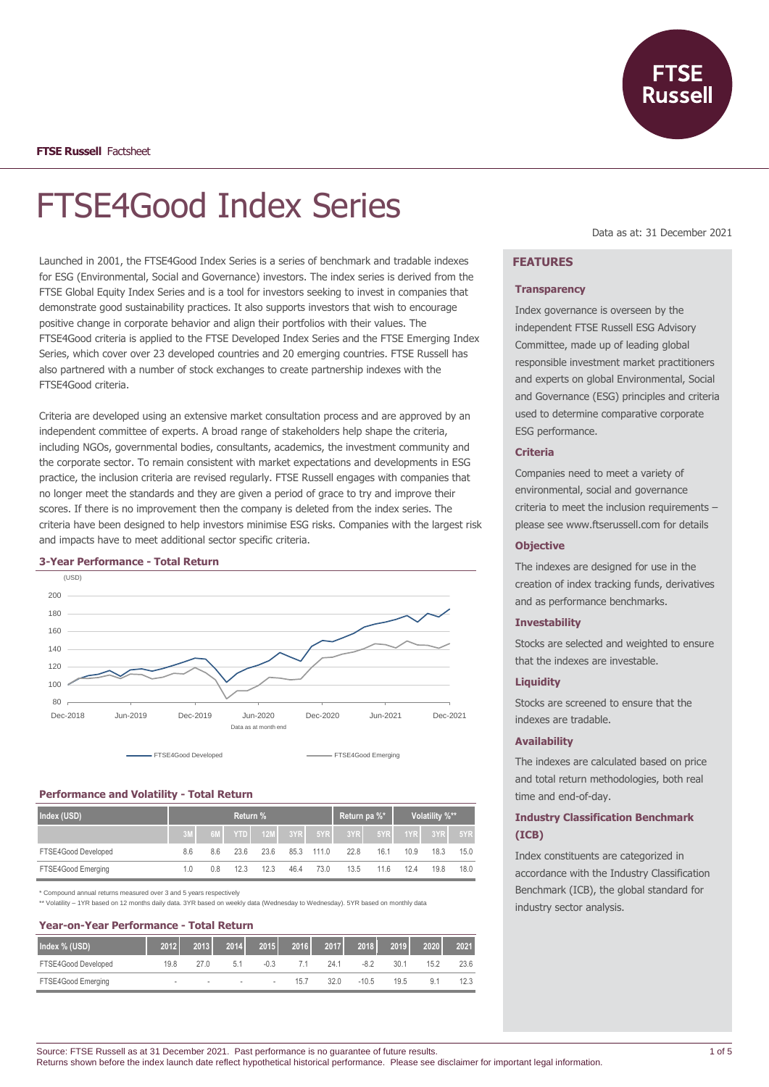# FTSE4Good Index Series

Launched in 2001, the FTSE4Good Index Series is a series of benchmark and tradable indexes for ESG (Environmental, Social and Governance) investors. The index series is derived from the FTSE Global Equity Index Series and is a tool for investors seeking to invest in companies that demonstrate good sustainability practices. It also supports investors that wish to encourage positive change in corporate behavior and align their portfolios with their values. The FTSE4Good criteria is applied to the FTSE Developed Index Series and the FTSE Emerging Index Series, which cover over 23 developed countries and 20 emerging countries. FTSE Russell has also partnered with a number of stock exchanges to create partnership indexes with the FTSE4Good criteria.

Criteria are developed using an extensive market consultation process and are approved by an independent committee of experts. A broad range of stakeholders help shape the criteria, including NGOs, governmental bodies, consultants, academics, the investment community and the corporate sector. To remain consistent with market expectations and developments in ESG practice, the inclusion criteria are revised regularly. FTSE Russell engages with companies that no longer meet the standards and they are given a period of grace to try and improve their scores. If there is no improvement then the company is deleted from the index series. The criteria have been designed to help investors minimise ESG risks. Companies with the largest risk and impacts have to meet additional sector specific criteria.

#### **3-Year Performance - Total Return**



# **Performance and Volatility - Total Return**

| Index (USD)         | Return % |     |       |            |      | Return pa %* |      | Volatility %** |      |         |      |
|---------------------|----------|-----|-------|------------|------|--------------|------|----------------|------|---------|------|
|                     |          | 6M  | YTD I | $\sim$ 12M | 3YR  | 5YR          | 3YR  | 5YR            |      | 1YR 3YR | 5YR  |
| FTSE4Good Developed | 8.6      | 8.6 | 23.6  | 23.6       | 85.3 | 111.0        | 22.8 | 16.1           | 10.9 | 18.3    | 15.0 |
| FTSE4Good Emerging  | 1.0      | 0.8 | 12.3  | 12.3       | 46.4 | 73.0         | 13.5 | 116            | 12.4 | 19.8    | 18.0 |

\* Compound annual returns measured over 3 and 5 years respectively

\*\* Volatility – 1YR based on 12 months daily data. 3YR based on weekly data (Wednesday to Wednesday). 5YR based on monthly data

# **Year-on-Year Performance - Total Return**

| Index % (USD)       | 2012 | 2013   | 2014   | 2015   | 2016 | 2017 | 2018    | 2019 | 2020 | 2021 |
|---------------------|------|--------|--------|--------|------|------|---------|------|------|------|
| FTSE4Good Developed | 19.8 |        | 5.     | $-0.3$ |      | 24.1 | $-8.2$  | 30.1 | 15.2 | 23.6 |
| FTSE4Good Emerging  | -    | $\sim$ | $\sim$ | $\,$   | 15.7 | 32.0 | $-10.5$ | 19.5 | 9.1  | 12.3 |

## Data as at: 31 December 2021

# **FEATURES**

#### **Transparency**

Index governance is overseen by the independent FTSE Russell ESG Advisory Committee, made up of leading global responsible investment market practitioners and experts on global Environmental, Social and Governance (ESG) principles and criteria used to determine comparative corporate ESG performance.

## **Criteria**

Companies need to meet a variety of environmental, social and governance criteria to meet the inclusion requirements – please see www.ftserussell.com for details

#### **Objective**

The indexes are designed for use in the creation of index tracking funds, derivatives and as performance benchmarks.

#### **Investability**

Stocks are selected and weighted to ensure that the indexes are investable.

## **Liquidity**

Stocks are screened to ensure that the indexes are tradable.

#### **Availability**

The indexes are calculated based on price and total return methodologies, both real time and end-of-day.

# **Industry Classification Benchmark (ICB)**

Index constituents are categorized in accordance with the Industry Classification Benchmark (ICB), the global standard for industry sector analysis.

Source: FTSE Russell as at 31 December 2021. Past performance is no guarantee of future results. Returns shown before the index launch date reflect hypothetical historical performance. Please see disclaimer for important legal information.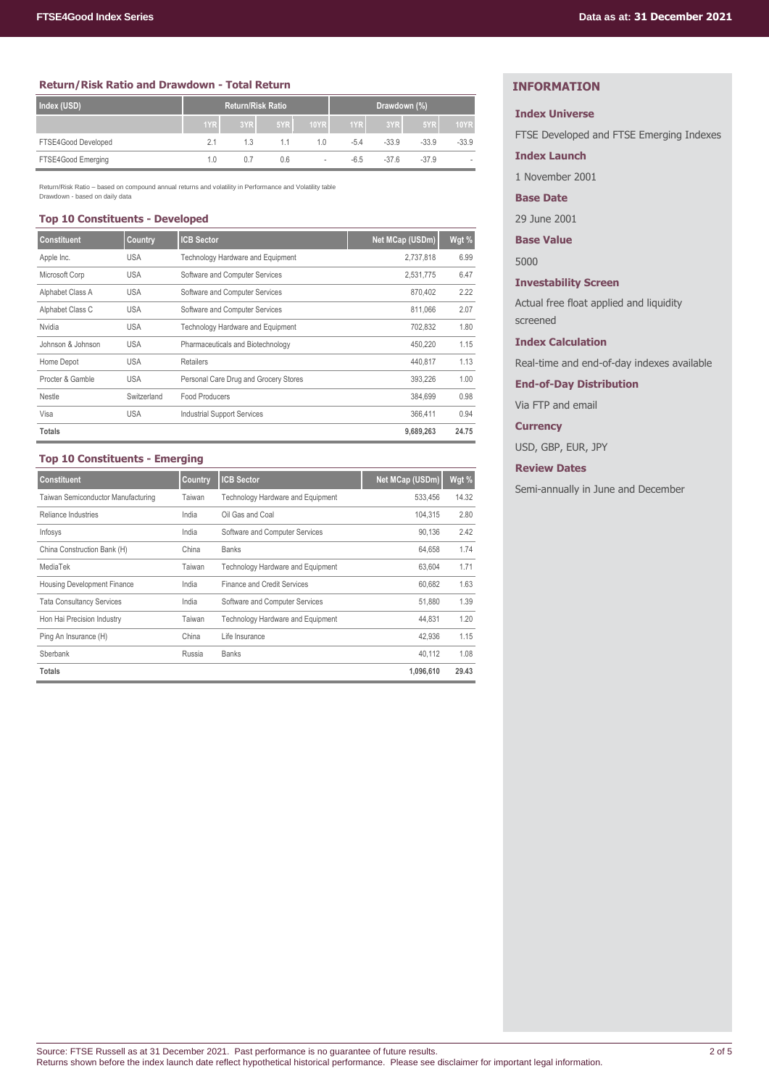#### **Return/Risk Ratio and Drawdown - Total Return**

| Index (USD)         | <b>Return/Risk Ratio</b> |     |     |             | Drawdown (%) |         |         |             |
|---------------------|--------------------------|-----|-----|-------------|--------------|---------|---------|-------------|
|                     | 1YR                      | 3YR | 5YR | <b>10YR</b> | 1YR          | 3YR     | 5YR     | <b>10YR</b> |
| FTSE4Good Developed | 2.1                      | 1.3 | 1.1 | 1.0         | $-5.4$       | $-33.9$ | $-33.9$ | $-33.9$     |
| FTSE4Good Emerging  | 1.0                      | 0.7 | 0.6 | $\sim$      | -6.5         | $-37.6$ | $-37.9$ |             |

Return/Risk Ratio – based on compound annual returns and volatility in Performance and Volatility table Drawdown - based on daily data

# **Top 10 Constituents - Developed**

| <b>Constituent</b> | Country     | <b>ICB Sector</b>                        | Net MCap (USDm) | Wgt % |
|--------------------|-------------|------------------------------------------|-----------------|-------|
| Apple Inc.         | <b>USA</b>  | Technology Hardware and Equipment        | 2,737,818       | 6.99  |
| Microsoft Corp     | <b>USA</b>  | Software and Computer Services           | 2,531,775       | 6.47  |
| Alphabet Class A   | <b>USA</b>  | Software and Computer Services           | 870.402         | 2.22  |
| Alphabet Class C   | <b>USA</b>  | Software and Computer Services           | 811,066         | 2.07  |
| Nvidia             | <b>USA</b>  | <b>Technology Hardware and Equipment</b> | 702,832         | 1.80  |
| Johnson & Johnson  | <b>USA</b>  | Pharmaceuticals and Biotechnology        | 450,220         | 1.15  |
| Home Depot         | <b>USA</b>  | Retailers                                | 440.817         | 1.13  |
| Procter & Gamble   | <b>USA</b>  | Personal Care Drug and Grocery Stores    | 393,226         | 1.00  |
| Nestle             | Switzerland | Food Producers                           | 384,699         | 0.98  |
| Visa               | <b>USA</b>  | <b>Industrial Support Services</b>       | 366.411         | 0.94  |
| <b>Totals</b>      |             |                                          | 9,689,263       | 24.75 |

# **Top 10 Constituents - Emerging**

| <b>Constituent</b>                 | <b>Country</b> | <b>ICB Sector</b>                 | Net MCap (USDm) | Wgt % |
|------------------------------------|----------------|-----------------------------------|-----------------|-------|
| Taiwan Semiconductor Manufacturing | Taiwan         | Technology Hardware and Equipment | 533.456         | 14.32 |
| Reliance Industries                | India          | Oil Gas and Coal                  | 104.315         | 2.80  |
| Infosys                            | India          | Software and Computer Services    | 90.136          | 2.42  |
| China Construction Bank (H)        | China          | <b>Banks</b>                      | 64.658          | 1.74  |
| MediaTek                           | Taiwan         | Technology Hardware and Equipment | 63.604          | 1.71  |
| Housing Development Finance        | India          | Finance and Credit Services       | 60.682          | 1.63  |
| <b>Tata Consultancy Services</b>   | India          | Software and Computer Services    | 51.880          | 1.39  |
| Hon Hai Precision Industry         | Taiwan         | Technology Hardware and Equipment | 44.831          | 1.20  |
| Ping An Insurance (H)              | China          | Life Insurance                    | 42,936          | 1.15  |
| Sberbank                           | Russia         | <b>Banks</b>                      | 40.112          | 1.08  |
| <b>Totals</b>                      |                |                                   | 1,096,610       | 29.43 |

# **INFORMATION**

# **Index Universe**

FTSE Developed and FTSE Emerging Indexes

#### **Index Launch**

1 November 2001

# **Base Date**

29 June 2001

**Base Value**

5000

**Investability Screen**

Actual free float applied and liquidity screened

#### **Index Calculation**

Real-time and end-of-day indexes available

**End-of-Day Distribution**

Via FTP and email

**Currency**

USD, GBP, EUR, JPY

**Review Dates**

Semi-annually in June and December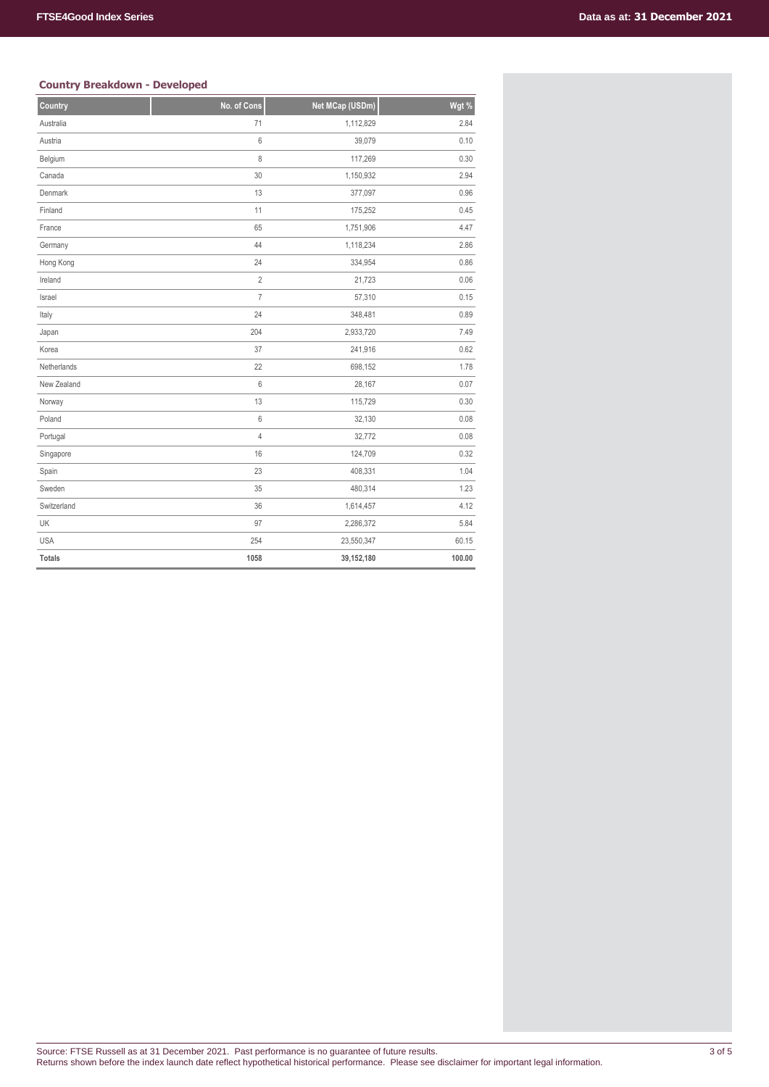## **Country Breakdown - Developed**

| countly bitantion. Beveloped |                |                 |        |
|------------------------------|----------------|-----------------|--------|
| Country                      | No. of Cons    | Net MCap (USDm) | Wgt %  |
| Australia                    | 71             | 1,112,829       | 2.84   |
| Austria                      | $\,6\,$        | 39,079          | 0.10   |
| Belgium                      | $\,8\,$        | 117,269         | 0.30   |
| Canada                       | 30             | 1,150,932       | 2.94   |
| Denmark                      | 13             | 377,097         | 0.96   |
| Finland                      | 11             | 175,252         | 0.45   |
| France                       | 65             | 1,751,906       | 4.47   |
| Germany                      | 44             | 1,118,234       | 2.86   |
| Hong Kong                    | 24             | 334,954         | 0.86   |
| Ireland                      | $\overline{2}$ | 21,723          | 0.06   |
| Israel                       | $\overline{7}$ | 57,310          | 0.15   |
| Italy                        | 24             | 348,481         | 0.89   |
| Japan                        | 204            | 2,933,720       | 7.49   |
| Korea                        | 37             | 241,916         | 0.62   |
| Netherlands                  | 22             | 698,152         | 1.78   |
| New Zealand                  | 6              | 28,167          | 0.07   |
| Norway                       | 13             | 115,729         | 0.30   |
| Poland                       | 6              | 32,130          | 0.08   |
| Portugal                     | $\overline{4}$ | 32,772          | 0.08   |
| Singapore                    | 16             | 124,709         | 0.32   |
| Spain                        | 23             | 408,331         | 1.04   |
| Sweden                       | 35             | 480,314         | 1.23   |
| Switzerland                  | 36             | 1,614,457       | 4.12   |
| UK                           | 97             | 2,286,372       | 5.84   |
| <b>USA</b>                   | 254            | 23,550,347      | 60.15  |
| <b>Totals</b>                | 1058           | 39,152,180      | 100.00 |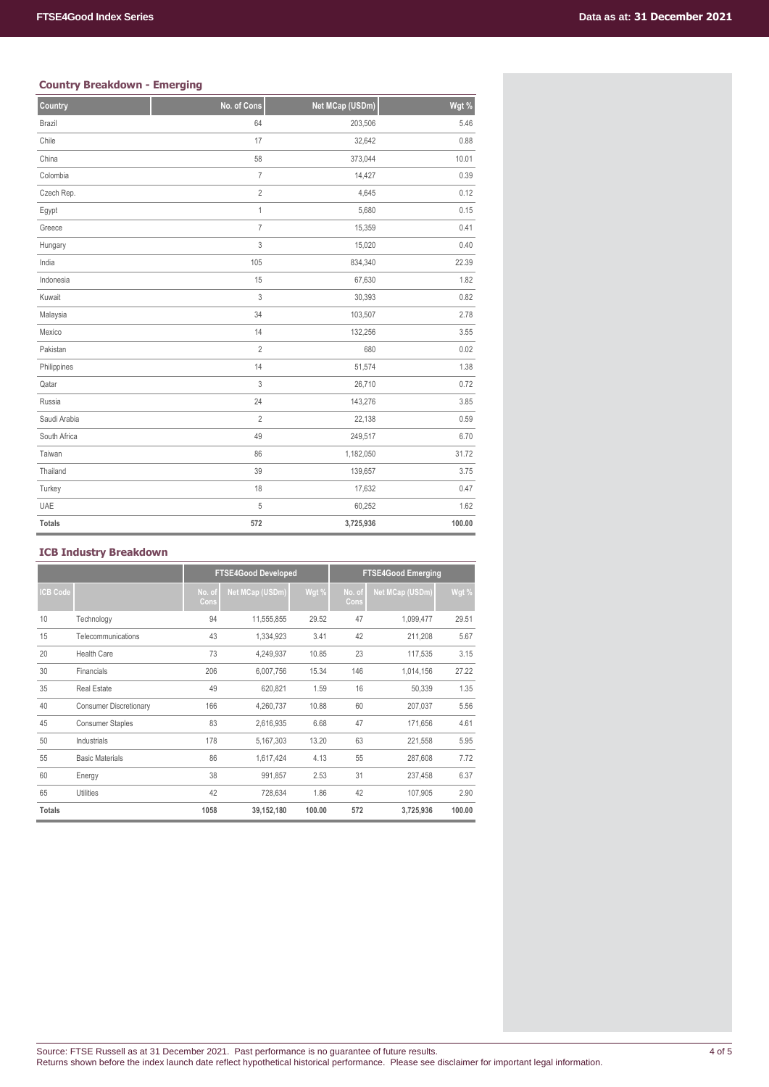## **Country Breakdown - Emerging**

| countly bitantion. Ennorging |                |                 |        |
|------------------------------|----------------|-----------------|--------|
| Country                      | No. of Cons    | Net MCap (USDm) | Wgt %  |
| Brazil                       | 64             | 203,506         | 5.46   |
| Chile                        | 17             | 32,642          | 0.88   |
| China                        | 58             | 373,044         | 10.01  |
| Colombia                     | $\overline{I}$ | 14,427          | 0.39   |
| Czech Rep.                   | $\overline{2}$ | 4,645           | 0.12   |
| Egypt                        | $\mathbf{1}$   | 5,680           | 0.15   |
| Greece                       | $\overline{7}$ | 15,359          | 0.41   |
| Hungary                      | 3              | 15,020          | 0.40   |
| India                        | 105            | 834,340         | 22.39  |
| Indonesia                    | 15             | 67,630          | 1.82   |
| Kuwait                       | 3              | 30,393          | 0.82   |
| Malaysia                     | 34             | 103,507         | 2.78   |
| Mexico                       | 14             | 132,256         | 3.55   |
| Pakistan                     | $\overline{2}$ | 680             | 0.02   |
| Philippines                  | 14             | 51,574          | 1.38   |
| Qatar                        | 3              | 26,710          | 0.72   |
| Russia                       | 24             | 143,276         | 3.85   |
| Saudi Arabia                 | $\overline{2}$ | 22,138          | 0.59   |
| South Africa                 | 49             | 249,517         | 6.70   |
| Taiwan                       | 86             | 1,182,050       | 31.72  |
| Thailand                     | 39             | 139,657         | 3.75   |
| Turkey                       | 18             | 17,632          | 0.47   |
| <b>UAE</b>                   | 5              | 60,252          | 1.62   |
| <b>Totals</b>                | 572            | 3,725,936       | 100.00 |

# **ICB Industry Breakdown**

|                 |                               | <b>FTSE4Good Developed</b> |                 |        | <b>FTSE4Good Emerging</b> |                 |        |
|-----------------|-------------------------------|----------------------------|-----------------|--------|---------------------------|-----------------|--------|
| <b>ICB Code</b> |                               | No. of<br>Cons             | Net MCap (USDm) | Wgt %  | No. of<br>Cons            | Net MCap (USDm) | Wgt %  |
| 10              | Technology                    | 94                         | 11,555,855      | 29.52  | 47                        | 1,099,477       | 29.51  |
| 15              | Telecommunications            | 43                         | 1,334,923       | 3.41   | 42                        | 211,208         | 5.67   |
| 20              | <b>Health Care</b>            | 73                         | 4,249,937       | 10.85  | 23                        | 117,535         | 3.15   |
| 30              | Financials                    | 206                        | 6,007,756       | 15.34  | 146                       | 1,014,156       | 27.22  |
| 35              | <b>Real Estate</b>            | 49                         | 620,821         | 1.59   | 16                        | 50,339          | 1.35   |
| 40              | <b>Consumer Discretionary</b> | 166                        | 4,260,737       | 10.88  | 60                        | 207,037         | 5.56   |
| 45              | <b>Consumer Staples</b>       | 83                         | 2,616,935       | 6.68   | 47                        | 171,656         | 4.61   |
| 50              | Industrials                   | 178                        | 5,167,303       | 13.20  | 63                        | 221,558         | 5.95   |
| 55              | <b>Basic Materials</b>        | 86                         | 1,617,424       | 4.13   | 55                        | 287,608         | 7.72   |
| 60              | Energy                        | 38                         | 991,857         | 2.53   | 31                        | 237,458         | 6.37   |
| 65              | <b>Utilities</b>              | 42                         | 728,634         | 1.86   | 42                        | 107,905         | 2.90   |
| <b>Totals</b>   |                               | 1058                       | 39,152,180      | 100.00 | 572                       | 3,725,936       | 100.00 |